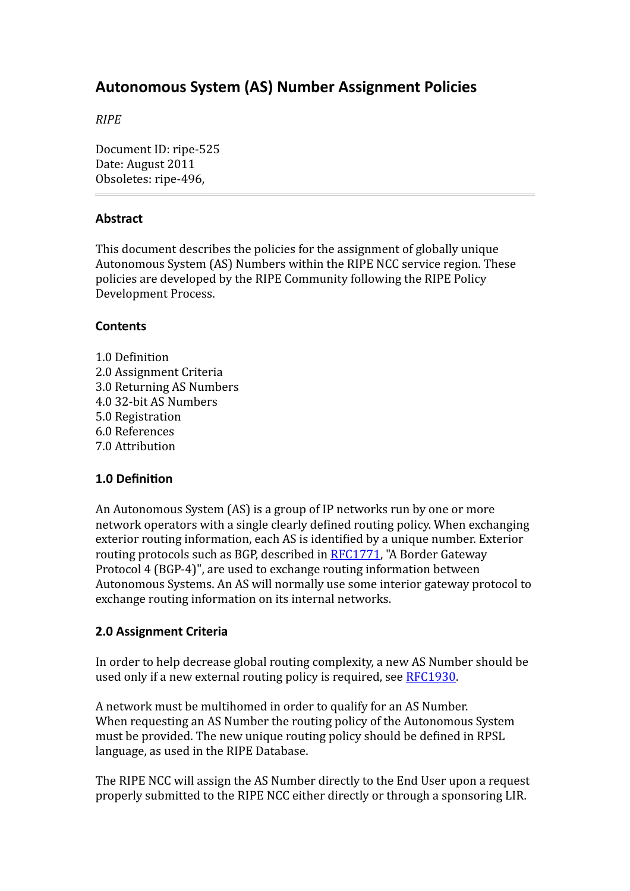# **Autonomous System (AS) Number Assignment Policies**

#### *RIPE*

Document ID: ripe-525 Date: August 2011 Obsoletes: ripe-496,

#### **Abstract**

This document describes the policies for the assignment of globally unique Autonomous System (AS) Numbers within the RIPE NCC service region. These policies are developed by the RIPE Community following the RIPE Policy Development Process.

#### **Contents**

- 1.0 Definition 2.0 Assignment Criteria 3.0 Returning AS Numbers 4.0 32-bit AS Numbers 5.0 Registration
- 6.0 References
- 7.0 Attribution

### **1.0 Definition**

An Autonomous System (AS) is a group of IP networks run by one or more network operators with a single clearly defined routing policy. When exchanging exterior routing information, each AS is identified by a unique number. Exterior routing protocols such as BGP, described in [RFC1771,](ftp://ftp.ripe.net/rfc/rfc1771.txt) "A Border Gateway Protocol 4 (BGP-4)", are used to exchange routing information between Autonomous Systems. An AS will normally use some interior gateway protocol to exchange routing information on its internal networks.

### **2.0 Assignment Criteria**

In order to help decrease global routing complexity, a new AS Number should be used only if a new external routing policy is required, see [RFC1930.](ftp://ftp.ripe.net/rfc/rfc1930.txt)

A network must be multihomed in order to qualify for an AS Number. When requesting an AS Number the routing policy of the Autonomous System must be provided. The new unique routing policy should be defined in RPSL language, as used in the RIPE Database.

The RIPE NCC will assign the AS Number directly to the End User upon a request properly submitted to the RIPE NCC either directly or through a sponsoring LIR.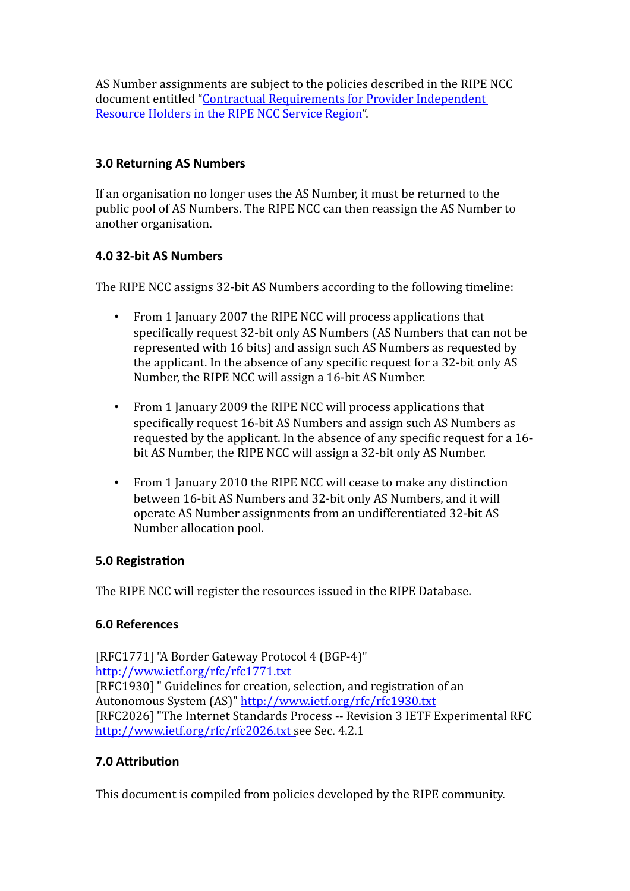AS Number assignments are subject to the policies described in the RIPE NCC document entitled ["Contractual Requirements for Provider Independent](https://www.ripe.net/ripe/docs/contract-req) [Resource Holders in the RIPE NCC Service Region"](https://www.ripe.net/ripe/docs/contract-req).

## **3.0 Returning AS Numbers**

If an organisation no longer uses the AS Number, it must be returned to the public pool of AS Numbers. The RIPE NCC can then reassign the AS Number to another organisation.

## **4.0 32-bit AS Numbers**

The RIPE NCC assigns 32-bit AS Numbers according to the following timeline:

- From 1 January 2007 the RIPE NCC will process applications that specifically request 32-bit only AS Numbers (AS Numbers that can not be represented with 16 bits) and assign such AS Numbers as requested by the applicant. In the absence of any specific request for a 32-bit only AS Number, the RIPE NCC will assign a 16-bit AS Number.
- From 1 January 2009 the RIPE NCC will process applications that specifically request 16-bit AS Numbers and assign such AS Numbers as requested by the applicant. In the absence of any specific request for a 16 bit AS Number, the RIPE NCC will assign a 32-bit only AS Number.
- From 1 January 2010 the RIPE NCC will cease to make any distinction between 16-bit AS Numbers and 32-bit only AS Numbers, and it will operate AS Number assignments from an undifferentiated 32-bit AS Number allocation pool.

### **5.0 Registration**

The RIPE NCC will register the resources issued in the RIPE Database.

### **6.0 References**

[RFC1771] "A Border Gateway Protocol 4 (BGP-4)" <http://www.ietf.org/rfc/rfc1771.txt> [RFC1930] " Guidelines for creation, selection, and registration of an Autonomous System (AS)"<http://www.ietf.org/rfc/rfc1930.txt> [RFC2026] "The Internet Standards Process -- Revision 3 IETF Experimental RFC <http://www.ietf.org/rfc/rfc2026.txt>see Sec. 4.2.1

## **7.0 Attribution**

This document is compiled from policies developed by the RIPE community.